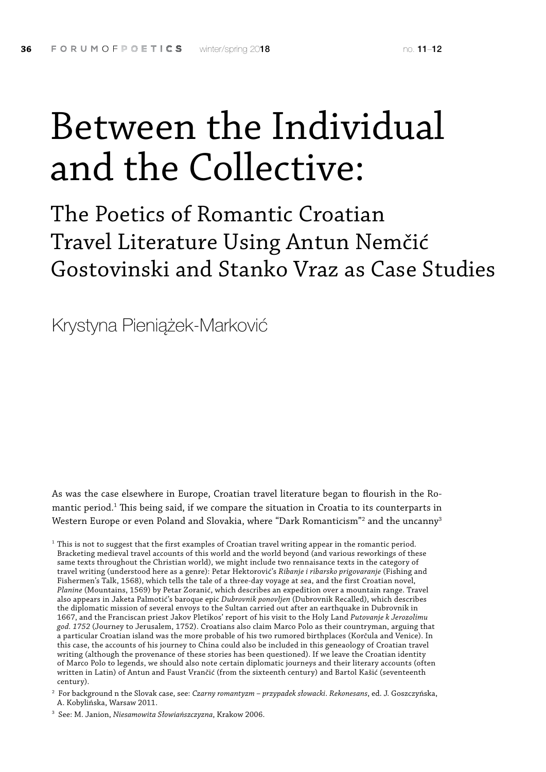# Between the Individual and the Collective:

The Poetics of Romantic Croatian Travel Literature Using Antun Nemčić Gostovinski and Stanko Vraz as Case Studies

Krystyna Pieniążek-Marković

As was the case elsewhere in Europe, Croatian travel literature began to flourish in the Romantic period.<sup>1</sup> This being said, if we compare the situation in Croatia to its counterparts in Western Europe or even Poland and Slovakia, where "Dark Romanticism"<sup>2</sup> and the uncanny<sup>3</sup>

 $1$  This is not to suggest that the first examples of Croatian travel writing appear in the romantic period. Bracketing medieval travel accounts of this world and the world beyond (and various reworkings of these same texts throughout the Christian world), we might include two rennaisance texts in the category of travel writing (understood here as a genre): Petar Hektorović's *Ribanje i ribarsko prigovaranje* (Fishing and Fishermen's Talk, 1568), which tells the tale of a three-day voyage at sea, and the first Croatian novel, *Planine* (Mountains, 1569) by Petar Zoranić, which describes an expedition over a mountain range. Travel also appears in Jaketa Palmotić's baroque epic *Dubrovnik ponovljen* (Dubrovnik Recalled), which describes the diplomatic mission of several envoys to the Sultan carried out after an earthquake in Dubrovnik in 1667, and the Franciscan priest Jakov Pletikos' report of his visit to the Holy Land *Putovanje k Jerozolimu god. 1752* (Journey to Jerusalem, 1752). Croatians also claim Marco Polo as their countryman, arguing that a particular Croatian island was the more probable of his two rumored birthplaces (Korčula and Venice). In this case, the accounts of his journey to China could also be included in this geneaology of Croatian travel writing (although the provenance of these stories has been questioned). If we leave the Croatian identity of Marco Polo to legends, we should also note certain diplomatic journeys and their literary accounts (often written in Latin) of Antun and Faust Vrančić (from the sixteenth century) and Bartol Kašić (seventeenth century).

<sup>2</sup> For background n the Slovak case, see: *Czarny romantyzm – przypadek słowacki*. *Rekonesans*, ed. J. Goszczyńska, A. Kobylińska, Warsaw 2011.

<sup>3</sup> See: M. Janion, *Niesamowita Słowiańszczyzna*, Krakow 2006.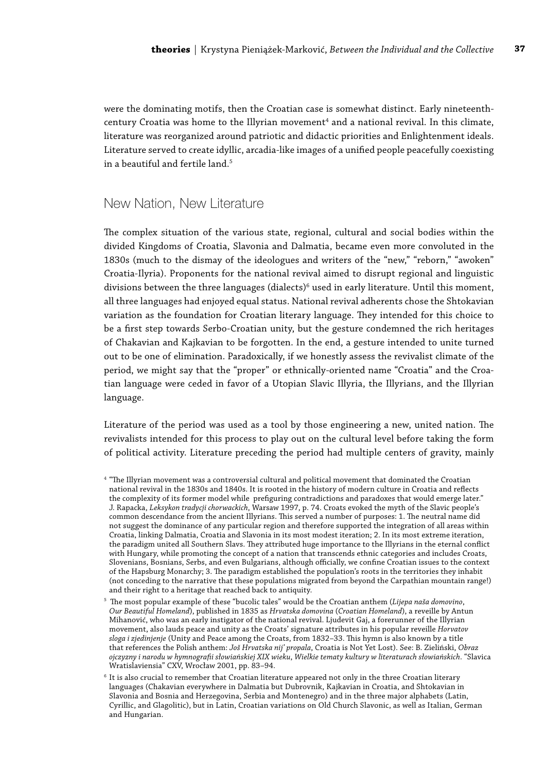were the dominating motifs, then the Croatian case is somewhat distinct. Early nineteenthcentury Croatia was home to the Illyrian movement $^{\rm 4}$  and a national revival. In this climate, literature was reorganized around patriotic and didactic priorities and Enlightenment ideals. Literature served to create idyllic, arcadia-like images of a unified people peacefully coexisting in a beautiful and fertile land.<sup>5</sup>

### New Nation, New Literature

The complex situation of the various state, regional, cultural and social bodies within the divided Kingdoms of Croatia, Slavonia and Dalmatia, became even more convoluted in the 1830s (much to the dismay of the ideologues and writers of the "new," "reborn," "awoken" Croatia-Ilyria). Proponents for the national revival aimed to disrupt regional and linguistic divisions between the three languages (dialects) $^6$  used in early literature. Until this moment, all three languages had enjoyed equal status. National revival adherents chose the Shtokavian variation as the foundation for Croatian literary language. They intended for this choice to be a first step towards Serbo-Croatian unity, but the gesture condemned the rich heritages of Chakavian and Kajkavian to be forgotten. In the end, a gesture intended to unite turned out to be one of elimination. Paradoxically, if we honestly assess the revivalist climate of the period, we might say that the "proper" or ethnically-oriented name "Croatia" and the Croatian language were ceded in favor of a Utopian Slavic Illyria, the Illyrians, and the Illyrian language.

Literature of the period was used as a tool by those engineering a new, united nation. The revivalists intended for this process to play out on the cultural level before taking the form of political activity. Literature preceding the period had multiple centers of gravity, mainly

<sup>4</sup> "The Illyrian movement was a controversial cultural and political movement that dominated the Croatian national revival in the 1830s and 1840s. It is rooted in the history of modern culture in Croatia and reflects the complexity of its former model while prefiguring contradictions and paradoxes that would emerge later." J. Rapacka, *Leksykon tradycji chorwackich*, Warsaw 1997, p. 74. Croats evoked the myth of the Slavic people's common descendance from the ancient Illyrians. This served a number of purposes: 1. The neutral name did not suggest the dominance of any particular region and therefore supported the integration of all areas within Croatia, linking Dalmatia, Croatia and Slavonia in its most modest iteration; 2. In its most extreme iteration, the paradigm united all Southern Slavs. They attributed huge importance to the Illyrians in the eternal conflict with Hungary, while promoting the concept of a nation that transcends ethnic categories and includes Croats, Slovenians, Bosnians, Serbs, and even Bulgarians, although officially, we confine Croatian issues to the context of the Hapsburg Monarchy; 3. The paradigm established the population's roots in the territories they inhabit (not conceding to the narrative that these populations migrated from beyond the Carpathian mountain range!) and their right to a heritage that reached back to antiquity.

<sup>5</sup> The most popular example of these "bucolic tales" would be the Croatian anthem (*Lijepa naša domovino*, *Our Beautiful Homeland*), published in 1835 as *Hrvatska domovina* (*Croatian Homeland*), a reveille by Antun Mihanović, who was an early instigator of the national revival. Ljudevit Gaj, a forerunner of the Illyrian movement, also lauds peace and unity as the Croats' signature attributes in his popular reveille *Horvatov sloga i zjedinjenje* (Unity and Peace among the Croats, from 1832–33. This hymn is also known by a title that references the Polish anthem: *Još Hrvatska nij' propala*, Croatia is Not Yet Lost). See: B. Zieliński, *Obraz ojczyzny i narodu w hymnografii słowiańskiej XIX wieku*, *Wielkie tematy kultury w literaturach słowiańskich*. "Slavica Wratislaviensia" CXV, Wrocław 2001, pp. 83–94.

<sup>6</sup> It is also crucial to remember that Croatian literature appeared not only in the three Croatian literary languages (Chakavian everywhere in Dalmatia but Dubrovnik, Kajkavian in Croatia, and Shtokavian in Slavonia and Bosnia and Herzegovina, Serbia and Montenegro) and in the three major alphabets (Latin, Cyrillic, and Glagolitic), but in Latin, Croatian variations on Old Church Slavonic, as well as Italian, German and Hungarian.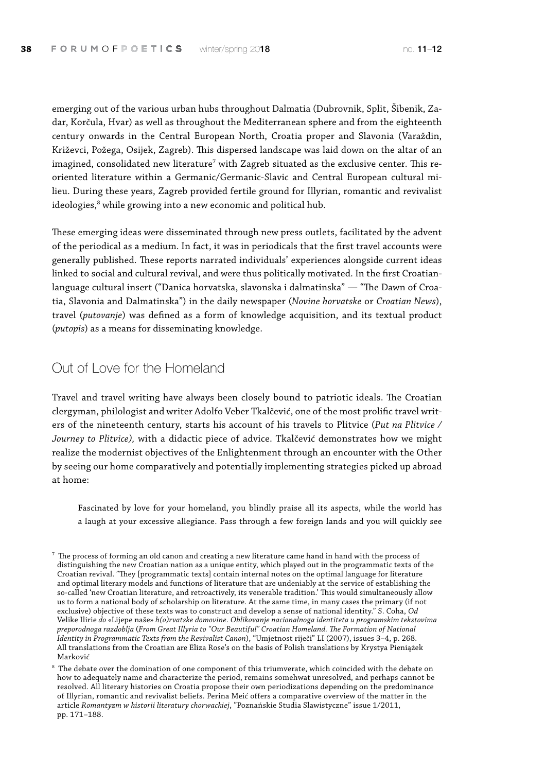emerging out of the various urban hubs throughout Dalmatia (Dubrovnik, Split, Šibenik, Zadar, Korčula, Hvar) as well as throughout the Mediterranean sphere and from the eighteenth century onwards in the Central European North, Croatia proper and Slavonia (Varaždin, Križevci, Požega, Osijek, Zagreb). This dispersed landscape was laid down on the altar of an imagined, consolidated new literature<sup>7</sup> with Zagreb situated as the exclusive center. This reoriented literature within a Germanic/Germanic-Slavic and Central European cultural milieu. During these years, Zagreb provided fertile ground for Illyrian, romantic and revivalist ideologies, $^8$  while growing into a new economic and political hub.

These emerging ideas were disseminated through new press outlets, facilitated by the advent of the periodical as a medium. In fact, it was in periodicals that the first travel accounts were generally published. These reports narrated individuals' experiences alongside current ideas linked to social and cultural revival, and were thus politically motivated. In the first Croatianlanguage cultural insert ("Danica horvatska, slavonska i dalmatinska" — "The Dawn of Croatia, Slavonia and Dalmatinska") in the daily newspaper (*Novine horvatske* or *Croatian News*), travel (*putovanje*) was defined as a form of knowledge acquisition, and its textual product (*putopis*) as a means for disseminating knowledge.

### Out of Love for the Homeland

Travel and travel writing have always been closely bound to patriotic ideals. The Croatian clergyman, philologist and writer Adolfo Veber Tkalčević, one of the most prolific travel writers of the nineteenth century, starts his account of his travels to Plitvice (*Put na Plitvice / Journey to Plitvice),* with a didactic piece of advice. Tkalčević demonstrates how we might realize the modernist objectives of the Enlightenment through an encounter with the Other by seeing our home comparatively and potentially implementing strategies picked up abroad at home:

Fascinated by love for your homeland, you blindly praise all its aspects, while the world has a laugh at your excessive allegiance. Pass through a few foreign lands and you will quickly see

 $^7$  The process of forming an old canon and creating a new literature came hand in hand with the process of distinguishing the new Croatian nation as a unique entity, which played out in the programmatic texts of the Croatian revival. "They [programmatic texts] contain internal notes on the optimal language for literature and optimal literary models and functions of literature that are undeniably at the service of establishing the so-called 'new Croatian literature, and retroactively, its venerable tradition.' This would simultaneously allow us to form a national body of scholarship on literature. At the same time, in many cases the primary (if not exclusive) objective of these texts was to construct and develop a sense of national identity." S. Coha, *Od*  Velike Ilirie *do* «Lijepe naše» *h(o)rvatske domovine*. *Oblikovanje nacionalnoga identiteta u programskim tekstovima preporodnoga razdoblja* (*From Great Illyria to "Our Beautiful" Croatian Homeland. The Formation of National Identity in Programmatic Texts from the Revivalist Canon*), "Umjetnost riječi" LI (2007), issues 3–4, p. 268. All translations from the Croatian are Eliza Rose's on the basis of Polish translations by Krystya Pieniążek Marković

<sup>&</sup>lt;sup>8</sup> The debate over the domination of one component of this triumverate, which coincided with the debate on how to adequately name and characterize the period, remains somehwat unresolved, and perhaps cannot be resolved. All literary histories on Croatia propose their own periodizations depending on the predominance of Illyrian, romantic and revivalist beliefs. Perina Meić offers a comparative overview of the matter in the article *Romantyzm w historii literatury chorwackiej*, "Poznańskie Studia Slawistyczne" issue 1/2011, pp. 171–188.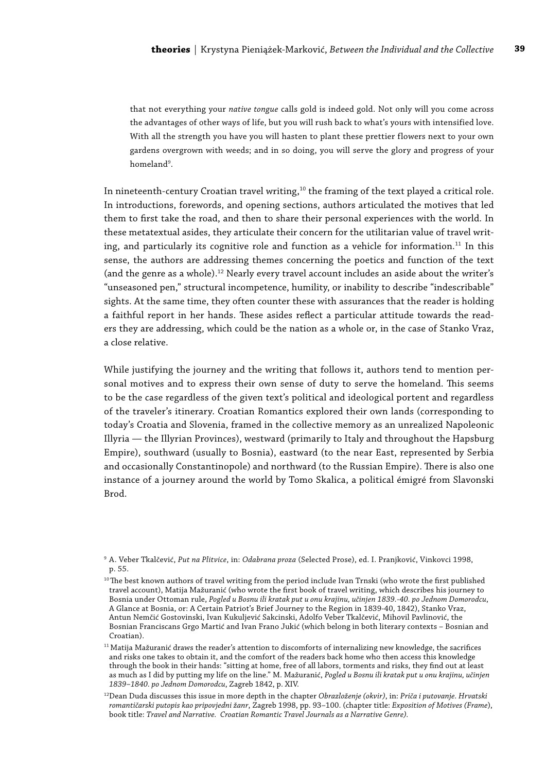that not everything your *native tongue* calls gold is indeed gold. Not only will you come across the advantages of other ways of life, but you will rush back to what's yours with intensified love. With all the strength you have you will hasten to plant these prettier flowers next to your own gardens overgrown with weeds; and in so doing, you will serve the glory and progress of your homeland<sup>9</sup>.

In nineteenth-century Croatian travel writing,<sup>10</sup> the framing of the text played a critical role. In introductions, forewords, and opening sections, authors articulated the motives that led them to first take the road, and then to share their personal experiences with the world. In these metatextual asides, they articulate their concern for the utilitarian value of travel writing, and particularly its cognitive role and function as a vehicle for information.<sup>11</sup> In this sense, the authors are addressing themes concerning the poetics and function of the text (and the genre as a whole).12 Nearly every travel account includes an aside about the writer's "unseasoned pen," structural incompetence, humility, or inability to describe "indescribable" sights. At the same time, they often counter these with assurances that the reader is holding a faithful report in her hands. These asides reflect a particular attitude towards the readers they are addressing, which could be the nation as a whole or, in the case of Stanko Vraz, a close relative.

While justifying the journey and the writing that follows it, authors tend to mention personal motives and to express their own sense of duty to serve the homeland. This seems to be the case regardless of the given text's political and ideological portent and regardless of the traveler's itinerary. Croatian Romantics explored their own lands (corresponding to today's Croatia and Slovenia, framed in the collective memory as an unrealized Napoleonic Illyria — the Illyrian Provinces), westward (primarily to Italy and throughout the Hapsburg Empire), southward (usually to Bosnia), eastward (to the near East, represented by Serbia and occasionally Constantinopole) and northward (to the Russian Empire). There is also one instance of a journey around the world by Tomo Skalica, a political émigré from Slavonski Brod.

<sup>9</sup> A. Veber Tkalčević, *Put na Plitvice*, in: *Odabrana proza* (Selected Prose), ed. I. Pranjković, Vinkovci 1998, p. 55.

 $^{\rm 10}$  The best known authors of travel writing from the period include Ivan Trnski (who wrote the first published travel account), Matija Mažuranić (who wrote the first book of travel writing, which describes his journey to Bosnia under Ottoman rule, *Pogled u Bosnu ili kratak put u onu krajinu, učinjen 1839.-40. po Jednom Domorodcu*, A Glance at Bosnia, or: A Certain Patriot's Brief Journey to the Region in 1839-40, 1842), Stanko Vraz, Antun Nemčić Gostovinski, Ivan Kukuljević Sakcinski, Adolfo Veber Tkalčević, Mihovil Pavlinović, the Bosnian Franciscans Grgo Martić and Ivan Frano Jukić (which belong in both literary contexts – Bosnian and Croatian).

 $^{11}$  Matija Mažuranić draws the reader's attention to discomforts of internalizing new knowledge, the sacrifices and risks one takes to obtain it, and the comfort of the readers back home who then access this knowledge through the book in their hands: "sitting at home, free of all labors, torments and risks, they find out at least as much as I did by putting my life on the line." M. Mažuranić, *Pogled u Bosnu ili kratak put u onu krajinu, učinjen 1839–1840. po Jednom Domorodcu*, Zagreb 1842, p. XIV.

<sup>12</sup>Dean Duda discusses this issue in more depth in the chapter *Obrazloženje (okvir)*, in: *Priča i putovanje. Hrvatski romantičarski putopis kao pripovjedni žanr*, Zagreb 1998, pp. 93–100. (chapter title: *Exposition of Motives (Frame*), book title: *Travel and Narrative. Croatian Romantic Travel Journals as a Narrative Genre).*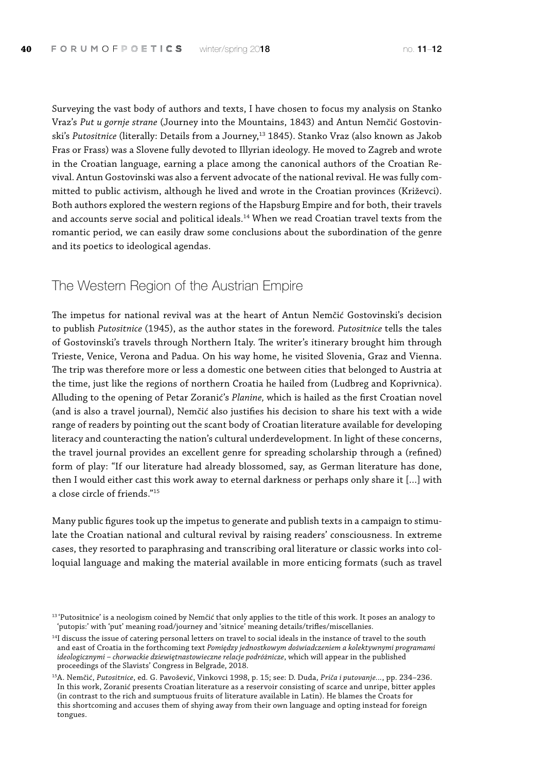Surveying the vast body of authors and texts, I have chosen to focus my analysis on Stanko Vraz's *Put u gornje strane* (Journey into the Mountains, 1843) and Antun Nemčić Gostovinski's Putositnice (literally: Details from a Journey,<sup>13</sup> 1845). Stanko Vraz (also known as Jakob Fras or Frass) was a Slovene fully devoted to Illyrian ideology. He moved to Zagreb and wrote in the Croatian language, earning a place among the canonical authors of the Croatian Revival. Antun Gostovinski was also a fervent advocate of the national revival. He was fully committed to public activism, although he lived and wrote in the Croatian provinces (Križevci). Both authors explored the western regions of the Hapsburg Empire and for both, their travels and accounts serve social and political ideals.<sup>14</sup> When we read Croatian travel texts from the romantic period, we can easily draw some conclusions about the subordination of the genre and its poetics to ideological agendas.

### The Western Region of the Austrian Empire

The impetus for national revival was at the heart of Antun Nemčić Gostovinski's decision to publish *Putositnice* (1945), as the author states in the foreword. *Putositnice* tells the tales of Gostovinski's travels through Northern Italy. The writer's itinerary brought him through Trieste, Venice, Verona and Padua. On his way home, he visited Slovenia, Graz and Vienna. The trip was therefore more or less a domestic one between cities that belonged to Austria at the time, just like the regions of northern Croatia he hailed from (Ludbreg and Koprivnica). Alluding to the opening of Petar Zoranić's *Planine,* which is hailed as the first Croatian novel (and is also a travel journal), Nemčić also justifies his decision to share his text with a wide range of readers by pointing out the scant body of Croatian literature available for developing literacy and counteracting the nation's cultural underdevelopment. In light of these concerns, the travel journal provides an excellent genre for spreading scholarship through a (refined) form of play: "If our literature had already blossomed, say, as German literature has done, then I would either cast this work away to eternal darkness or perhaps only share it […] with a close circle of friends."15

Many public figures took up the impetus to generate and publish texts in a campaign to stimulate the Croatian national and cultural revival by raising readers' consciousness. In extreme cases, they resorted to paraphrasing and transcribing oral literature or classic works into colloquial language and making the material available in more enticing formats (such as travel

<sup>&</sup>lt;sup>13</sup> 'Putositnice' is a neologism coined by Nemčić that only applies to the title of this work. It poses an analogy to 'putopis:' with 'put' meaning road/journey and 'sitnice' meaning details/trifles/miscellanies.

 $14$ I discuss the issue of catering personal letters on travel to social ideals in the instance of travel to the south and east of Croatia in the forthcoming text *Pomiędzy jednostkowym doświadczeniem a kolektywnymi programami ideologicznymi – chorwackie dziewiętnastowieczne relacje podróżnicze*, which will appear in the published proceedings of the Slavists' Congress in Belgrade, 2018.

<sup>15</sup>A. Nemčić, *Putositnice*, ed. G. Pavošević, Vinkovci 1998, p. 15; see: D. Duda, *Priča i putovanje...*, pp. 234–236. In this work, Zoranić presents Croatian literature as a reservoir consisting of scarce and unripe, bitter apples (in contrast to the rich and sumptuous fruits of literature available in Latin). He blames the Croats for this shortcoming and accuses them of shying away from their own language and opting instead for foreign tongues.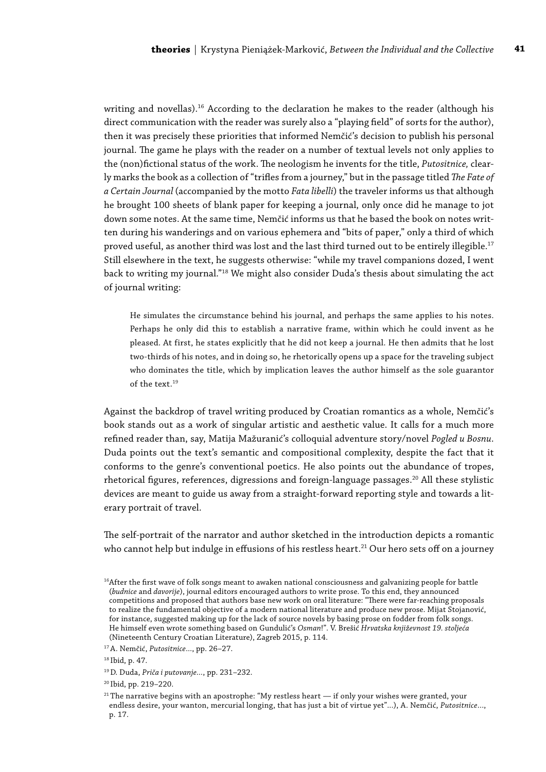writing and novellas).<sup>16</sup> According to the declaration he makes to the reader (although his direct communication with the reader was surely also a "playing field" of sorts for the author), then it was precisely these priorities that informed Nemčić's decision to publish his personal journal. The game he plays with the reader on a number of textual levels not only applies to the (non)fictional status of the work. The neologism he invents for the title, *Putositnice,* clearly marks the book as a collection of "trifles from a journey," but in the passage titled *The Fate of a Certain Journal* (accompanied by the motto *Fata libelli*) the traveler informs us that although he brought 100 sheets of blank paper for keeping a journal, only once did he manage to jot down some notes. At the same time, Nemčić informs us that he based the book on notes written during his wanderings and on various ephemera and "bits of paper," only a third of which proved useful, as another third was lost and the last third turned out to be entirely illegible.17 Still elsewhere in the text, he suggests otherwise: "while my travel companions dozed, I went back to writing my journal."18 We might also consider Duda's thesis about simulating the act of journal writing:

He simulates the circumstance behind his journal, and perhaps the same applies to his notes. Perhaps he only did this to establish a narrative frame, within which he could invent as he pleased. At first, he states explicitly that he did not keep a journal. He then admits that he lost two-thirds of his notes, and in doing so, he rhetorically opens up a space for the traveling subject who dominates the title, which by implication leaves the author himself as the sole guarantor of the text.19

Against the backdrop of travel writing produced by Croatian romantics as a whole, Nemčić's book stands out as a work of singular artistic and aesthetic value. It calls for a much more refined reader than, say, Matija Mažuranić's colloquial adventure story/novel *Pogled u Bosnu*. Duda points out the text's semantic and compositional complexity, despite the fact that it conforms to the genre's conventional poetics. He also points out the abundance of tropes, rhetorical figures, references, digressions and foreign-language passages.<sup>20</sup> All these stylistic devices are meant to guide us away from a straight-forward reporting style and towards a literary portrait of travel.

The self-portrait of the narrator and author sketched in the introduction depicts a romantic who cannot help but indulge in effusions of his restless heart.<sup>21</sup> Our hero sets off on a journey

<sup>20</sup> Ibid, pp. 219–220.

 $21$  The narrative begins with an apostrophe: "My restless heart  $-$  if only your wishes were granted, your endless desire, your wanton, mercurial longing, that has just a bit of virtue yet"...), A. Nemčić, *Putositnice*..., p. 17.

<sup>&</sup>lt;sup>16</sup>After the first wave of folk songs meant to awaken national consciousness and galvanizing people for battle (*budnice* and *davorije*), journal editors encouraged authors to write prose. To this end, they announced competitions and proposed that authors base new work on oral literature: "There were far-reaching proposals to realize the fundamental objective of a modern national literature and produce new prose. Mijat Stojanović, for instance, suggested making up for the lack of source novels by basing prose on fodder from folk songs. He himself even wrote something based on Gundulić's *Osman*!". V. Brešić *Hrvatska književnost 19. stoljeća* (Nineteenth Century Croatian Literature), Zagreb 2015, p. 114.

<sup>17</sup> A. Nemčić, *Putositnice*..., pp. 26–27.

<sup>18</sup> Ibid, p. 47.

<sup>19</sup>D. Duda, *Priča i putovanje...*, pp. 231–232.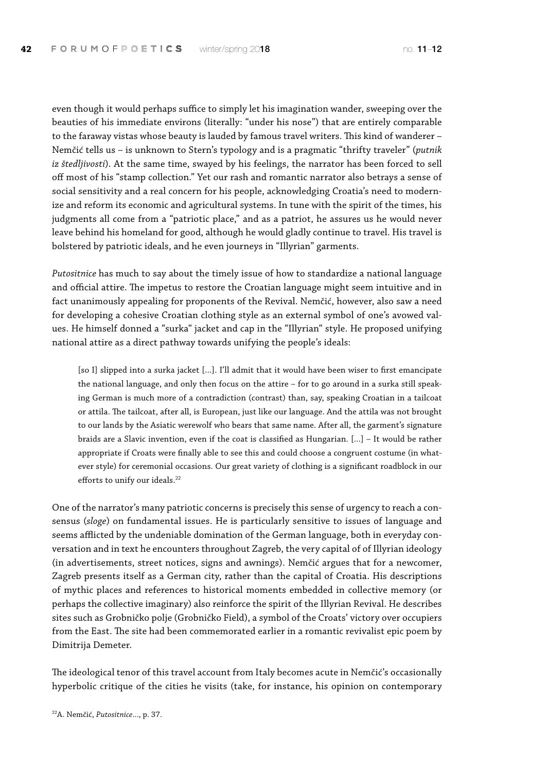even though it would perhaps suffice to simply let his imagination wander, sweeping over the beauties of his immediate environs (literally: "under his nose") that are entirely comparable to the faraway vistas whose beauty is lauded by famous travel writers. This kind of wanderer – Nemčić tells us – is unknown to Stern's typology and is a pragmatic "thrifty traveler" (*putnik iz štedljivosti*). At the same time, swayed by his feelings, the narrator has been forced to sell off most of his "stamp collection." Yet our rash and romantic narrator also betrays a sense of social sensitivity and a real concern for his people, acknowledging Croatia's need to modernize and reform its economic and agricultural systems. In tune with the spirit of the times, his judgments all come from a "patriotic place," and as a patriot, he assures us he would never leave behind his homeland for good, although he would gladly continue to travel. His travel is bolstered by patriotic ideals, and he even journeys in "Illyrian" garments.

*Putositnice* has much to say about the timely issue of how to standardize a national language and official attire. The impetus to restore the Croatian language might seem intuitive and in fact unanimously appealing for proponents of the Revival. Nemčić, however, also saw a need for developing a cohesive Croatian clothing style as an external symbol of one's avowed values. He himself donned a "surka" jacket and cap in the "Illyrian" style. He proposed unifying national attire as a direct pathway towards unifying the people's ideals:

[so I] slipped into a surka jacket [...]. I'll admit that it would have been wiser to first emancipate the national language, and only then focus on the attire – for to go around in a surka still speaking German is much more of a contradiction (contrast) than, say, speaking Croatian in a tailcoat or attila. The tailcoat, after all, is European, just like our language. And the attila was not brought to our lands by the Asiatic werewolf who bears that same name. After all, the garment's signature braids are a Slavic invention, even if the coat is classified as Hungarian. [...] – It would be rather appropriate if Croats were finally able to see this and could choose a congruent costume (in whatever style) for ceremonial occasions. Our great variety of clothing is a significant roadblock in our efforts to unify our ideals.<sup>22</sup>

One of the narrator's many patriotic concerns is precisely this sense of urgency to reach a consensus (*sloge*) on fundamental issues. He is particularly sensitive to issues of language and seems afflicted by the undeniable domination of the German language, both in everyday conversation and in text he encounters throughout Zagreb, the very capital of of Illyrian ideology (in advertisements, street notices, signs and awnings). Nemčić argues that for a newcomer, Zagreb presents itself as a German city, rather than the capital of Croatia. His descriptions of mythic places and references to historical moments embedded in collective memory (or perhaps the collective imaginary) also reinforce the spirit of the Illyrian Revival. He describes sites such as Grobničko polje (Grobničko Field), a symbol of the Croats' victory over occupiers from the East. The site had been commemorated earlier in a romantic revivalist epic poem by Dimitrija Demeter.

The ideological tenor of this travel account from Italy becomes acute in Nemčić's occasionally hyperbolic critique of the cities he visits (take, for instance, his opinion on contemporary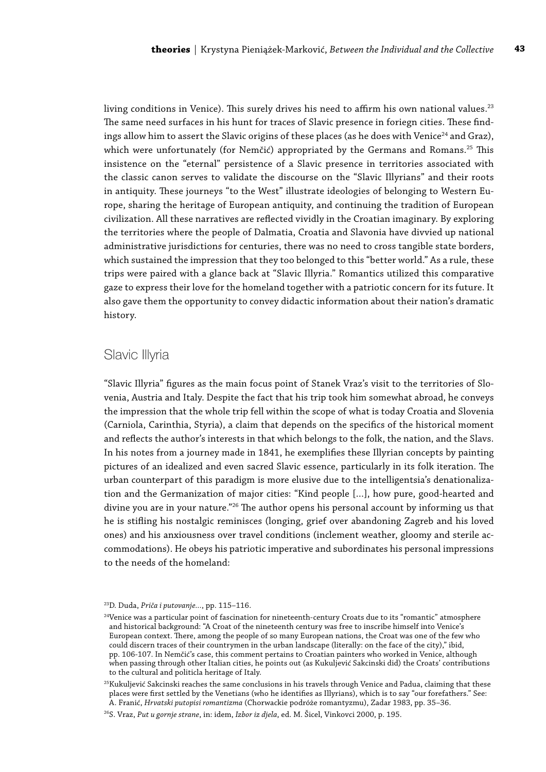living conditions in Venice). This surely drives his need to affirm his own national values.<sup>23</sup> The same need surfaces in his hunt for traces of Slavic presence in foriegn cities. These findings allow him to assert the Slavic origins of these places (as he does with Venice<sup>24</sup> and Graz), which were unfortunately (for Nemčić) appropriated by the Germans and Romans.<sup>25</sup> This insistence on the "eternal" persistence of a Slavic presence in territories associated with the classic canon serves to validate the discourse on the "Slavic Illyrians" and their roots in antiquity. These journeys "to the West" illustrate ideologies of belonging to Western Europe, sharing the heritage of European antiquity, and continuing the tradition of European civilization. All these narratives are reflected vividly in the Croatian imaginary. By exploring the territories where the people of Dalmatia, Croatia and Slavonia have divvied up national administrative jurisdictions for centuries, there was no need to cross tangible state borders, which sustained the impression that they too belonged to this "better world." As a rule, these trips were paired with a glance back at "Slavic Illyria." Romantics utilized this comparative gaze to express their love for the homeland together with a patriotic concern for its future. It also gave them the opportunity to convey didactic information about their nation's dramatic history.

### Slavic Illyria

"Slavic Illyria" figures as the main focus point of Stanek Vraz's visit to the territories of Slovenia, Austria and Italy. Despite the fact that his trip took him somewhat abroad, he conveys the impression that the whole trip fell within the scope of what is today Croatia and Slovenia (Carniola, Carinthia, Styria), a claim that depends on the specifics of the historical moment and reflects the author's interests in that which belongs to the folk, the nation, and the Slavs. In his notes from a journey made in 1841, he exemplifies these Illyrian concepts by painting pictures of an idealized and even sacred Slavic essence, particularly in its folk iteration. The urban counterpart of this paradigm is more elusive due to the intelligentsia's denationalization and the Germanization of major cities: "Kind people […], how pure, good-hearted and divine you are in your nature."<sup>26</sup> The author opens his personal account by informing us that he is stifling his nostalgic reminisces (longing, grief over abandoning Zagreb and his loved ones) and his anxiousness over travel conditions (inclement weather, gloomy and sterile accommodations). He obeys his patriotic imperative and subordinates his personal impressions to the needs of the homeland:

<sup>23</sup>D. Duda, *Priča i putovanje...*, pp. 115–116.

<sup>&</sup>lt;sup>24</sup>Venice was a particular point of fascination for nineteenth-century Croats due to its "romantic" atmosphere and historical background: "A Croat of the nineteenth century was free to inscribe himself into Venice's European context. There, among the people of so many European nations, the Croat was one of the few who could discern traces of their countrymen in the urban landscape (literally: on the face of the city)," ibid, pp. 106-107. In Nemčić's case, this comment pertains to Croatian painters who worked in Venice, although when passing through other Italian cities, he points out (as Kukuljević Sakcinski did) the Croats' contributions to the cultural and politicla heritage of Italy.

 $^{25}$ Kukuljević Sakcinski reaches the same conclusions in his travels through Venice and Padua, claiming that these places were first settled by the Venetians (who he identifies as Illyrians), which is to say "our forefathers." See: A. Franić, *Hrvatski putopisi romantizma* (Chorwackie podróże romantyzmu), Zadar 1983, pp. 35–36.

<sup>26</sup>S. Vraz, *Put u gornje strane*, in: idem, *Izbor iz djela*, ed. M. Šicel, Vinkovci 2000, p. 195.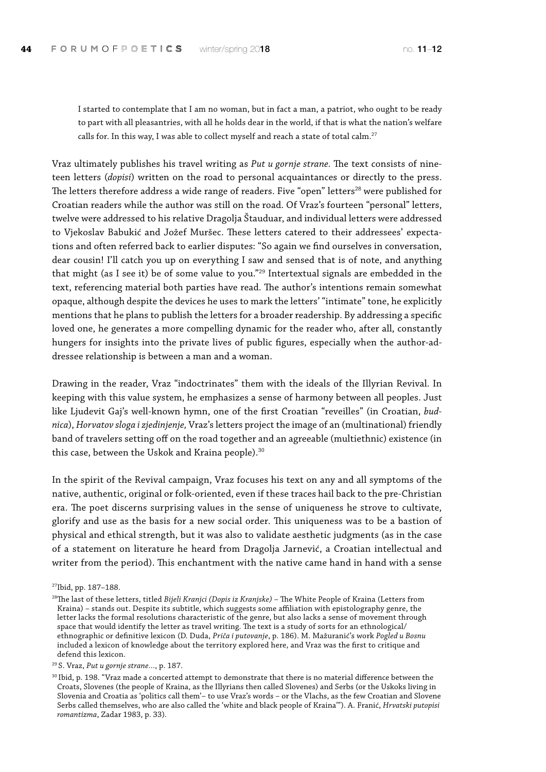I started to contemplate that I am no woman, but in fact a man, a patriot, who ought to be ready to part with all pleasantries, with all he holds dear in the world, if that is what the nation's welfare calls for. In this way, I was able to collect myself and reach a state of total calm.<sup>27</sup>

Vraz ultimately publishes his travel writing as *Put u gornje strane.* The text consists of nineteen letters (*dopisi*) written on the road to personal acquaintances or directly to the press. The letters therefore address a wide range of readers. Five "open" letters<sup>28</sup> were published for Croatian readers while the author was still on the road. Of Vraz's fourteen "personal" letters, twelve were addressed to his relative Dragolja Štauduar, and individual letters were addressed to Vjekoslav Babukić and Jožef Muršec. These letters catered to their addressees' expectations and often referred back to earlier disputes: "So again we find ourselves in conversation, dear cousin! I'll catch you up on everything I saw and sensed that is of note, and anything that might (as I see it) be of some value to you."29 Intertextual signals are embedded in the text, referencing material both parties have read. The author's intentions remain somewhat opaque, although despite the devices he uses to mark the letters' "intimate" tone, he explicitly mentions that he plans to publish the letters for a broader readership. By addressing a specific loved one, he generates a more compelling dynamic for the reader who, after all, constantly hungers for insights into the private lives of public figures, especially when the author-addressee relationship is between a man and a woman.

Drawing in the reader, Vraz "indoctrinates" them with the ideals of the Illyrian Revival. In keeping with this value system, he emphasizes a sense of harmony between all peoples. Just like Ljudevit Gaj's well-known hymn, one of the first Croatian "reveilles" (in Croatian, *budnica*), *Horvatov sloga i zjedinjenje,* Vraz's letters project the image of an (multinational) friendly band of travelers setting off on the road together and an agreeable (multiethnic) existence (in this case, between the Uskok and Kraina people).<sup>30</sup>

In the spirit of the Revival campaign, Vraz focuses his text on any and all symptoms of the native, authentic, original or folk-oriented, even if these traces hail back to the pre-Christian era. The poet discerns surprising values in the sense of uniqueness he strove to cultivate, glorify and use as the basis for a new social order. This uniqueness was to be a bastion of physical and ethical strength, but it was also to validate aesthetic judgments (as in the case of a statement on literature he heard from Dragolja Jarnević, a Croatian intellectual and writer from the period). This enchantment with the native came hand in hand with a sense

<sup>29</sup> S. Vraz, *Put u gornje strane…*, p. 187.

<sup>27</sup>Ibid, pp. 187–188.

<sup>28</sup>The last of these letters, titled *Bijeli Kranjci (Dopis iz Kranjske)* – The White People of Kraina (Letters from Kraina) – stands out. Despite its subtitle, which suggests some affiliation with epistolography genre, the letter lacks the formal resolutions characteristic of the genre, but also lacks a sense of movement through space that would identify the letter as travel writing. The text is a study of sorts for an ethnological/ ethnographic or definitive lexicon (D. Duda, *Priča i putovanje*, p. 186). M. Mažuranić's work *Pogled u Bosnu* included a lexicon of knowledge about the territory explored here, and Vraz was the first to critique and defend this lexicon.

 $30$  Ibid, p. 198. "Vraz made a concerted attempt to demonstrate that there is no material difference between the Croats, Slovenes (the people of Kraina, as the Illyrians then called Slovenes) and Serbs (or the Uskoks living in Slovenia and Croatia as 'politics call them'– to use Vraz's words – or the Vlachs, as the few Croatian and Slovene Serbs called themselves, who are also called the 'white and black people of Kraina'"). A. Franić, *Hrvatski putopisi romantizma*, Zadar 1983, p. 33).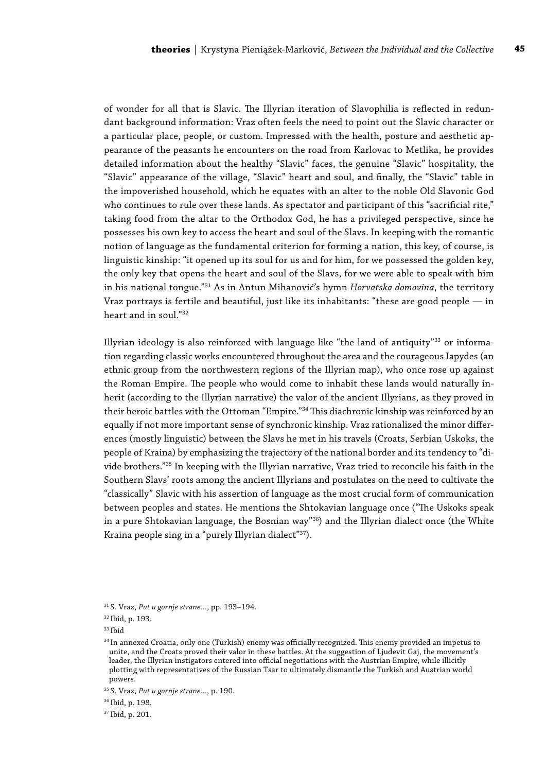of wonder for all that is Slavic. The Illyrian iteration of Slavophilia is reflected in redundant background information: Vraz often feels the need to point out the Slavic character or a particular place, people, or custom. Impressed with the health, posture and aesthetic appearance of the peasants he encounters on the road from Karlovac to Metlika, he provides detailed information about the healthy "Slavic" faces, the genuine "Slavic" hospitality, the "Slavic" appearance of the village, "Slavic" heart and soul, and finally, the "Slavic" table in the impoverished household, which he equates with an alter to the noble Old Slavonic God who continues to rule over these lands. As spectator and participant of this "sacrificial rite," taking food from the altar to the Orthodox God, he has a privileged perspective, since he possesses his own key to access the heart and soul of the Slavs. In keeping with the romantic notion of language as the fundamental criterion for forming a nation, this key, of course, is linguistic kinship: "it opened up its soul for us and for him, for we possessed the golden key, the only key that opens the heart and soul of the Slavs, for we were able to speak with him in his national tongue."31 As in Antun Mihanović's hymn *Horvatska domovina*, the territory Vraz portrays is fertile and beautiful, just like its inhabitants: "these are good people — in heart and in soul."32

Illyrian ideology is also reinforced with language like "the land of antiquity"33 or information regarding classic works encountered throughout the area and the courageous Iapydes (an ethnic group from the northwestern regions of the Illyrian map), who once rose up against the Roman Empire. The people who would come to inhabit these lands would naturally inherit (according to the Illyrian narrative) the valor of the ancient Illyrians, as they proved in their heroic battles with the Ottoman "Empire."34 This diachronic kinship was reinforced by an equally if not more important sense of synchronic kinship. Vraz rationalized the minor differences (mostly linguistic) between the Slavs he met in his travels (Croats, Serbian Uskoks, the people of Kraina) by emphasizing the trajectory of the national border and its tendency to "divide brothers."35 In keeping with the Illyrian narrative, Vraz tried to reconcile his faith in the Southern Slavs' roots among the ancient Illyrians and postulates on the need to cultivate the "classically" Slavic with his assertion of language as the most crucial form of communication between peoples and states. He mentions the Shtokavian language once ("The Uskoks speak in a pure Shtokavian language, the Bosnian way"<sup>36</sup>) and the Illyrian dialect once (the White Kraina people sing in a "purely Illyrian dialect"37).

<sup>31</sup> S. Vraz, *Put u gornje strane…*, pp. 193–194.

<sup>32</sup> Ibid, p. 193.

<sup>33</sup> Ibid

<sup>34</sup> In annexed Croatia, only one (Turkish) enemy was officially recognized. This enemy provided an impetus to unite, and the Croats proved their valor in these battles. At the suggestion of Ljudevit Gaj, the movement's leader, the Illyrian instigators entered into official negotiations with the Austrian Empire, while illicitly plotting with representatives of the Russian Tsar to ultimately dismantle the Turkish and Austrian world powers.

<sup>35</sup> S. Vraz, *Put u gornje strane…*, p. 190.

<sup>36</sup> Ibid, p. 198.

<sup>37</sup> Ibid, p. 201.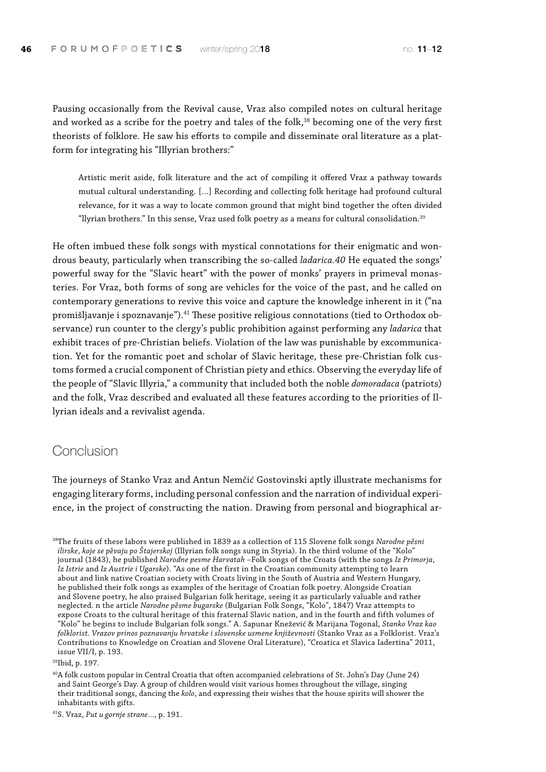Pausing occasionally from the Revival cause, Vraz also compiled notes on cultural heritage and worked as a scribe for the poetry and tales of the folk,<sup>38</sup> becoming one of the very first theorists of folklore. He saw his efforts to compile and disseminate oral literature as a platform for integrating his "Illyrian brothers:"

Artistic merit aside, folk literature and the act of compiling it offered Vraz a pathway towards mutual cultural understanding. […] Recording and collecting folk heritage had profound cultural relevance, for it was a way to locate common ground that might bind together the often divided "llyrian brothers." In this sense, Vraz used folk poetry as a means for cultural consolidation.39

He often imbued these folk songs with mystical connotations for their enigmatic and wondrous beauty, particularly when transcribing the so-called *ladarica.40* He equated the songs' powerful sway for the "Slavic heart" with the power of monks' prayers in primeval monasteries. For Vraz, both forms of song are vehicles for the voice of the past, and he called on contemporary generations to revive this voice and capture the knowledge inherent in it ("na promišljavanje i spoznavanje").<sup>41</sup> These positive religious connotations (tied to Orthodox observance) run counter to the clergy's public prohibition against performing any *ladarica* that exhibit traces of pre-Christian beliefs. Violation of the law was punishable by excommunication. Yet for the romantic poet and scholar of Slavic heritage, these pre-Christian folk customs formed a crucial component of Christian piety and ethics. Observing the everyday life of the people of "Slavic Illyria," a community that included both the noble *domoradaca* (patriots) and the folk, Vraz described and evaluated all these features according to the priorities of Illyrian ideals and a revivalist agenda.

### Conclusion

The journeys of Stanko Vraz and Antun Nemčić Gostovinski aptly illustrate mechanisms for engaging literary forms, including personal confession and the narration of individual experience, in the project of constructing the nation. Drawing from personal and biographical ar-

39Ibid, p. 197.

40A folk custom popular in Central Croatia that often accompanied celebrations of St. John's Day (June 24) and Saint George's Day. A group of children would visit various homes throughout the village, singing their traditional songs, dancing the *kolo*, and expressing their wishes that the house spirits will shower the inhabitants with gifts.

41S. Vraz, *Put u gornje strane…*, p. 191.

<sup>38</sup>The fruits of these labors were published in 1839 as a collection of 115 Slovene folk songs *Narodne pĕsni ilirske*, *koje se pe*̆*vaju po Štajerskoj* (Illyrian folk songs sung in Styria). In the third volume of the "Kolo" journal (1843), he published *Narodne pesme Harvatah* –Folk songs of the Croats (with the songs *Iz Primorja*, *Iz Istrie* and *Iz Austrie i Ugarske*). "As one of the first in the Croatian community attempting to learn about and link native Croatian society with Croats living in the South of Austria and Western Hungary, he published their folk songs as examples of the heritage of Croatian folk poetry. Alongside Croatian and Slovene poetry, he also praised Bulgarian folk heritage, seeing it as particularly valuable and rather neglected. n the article *Narodne pe*̆*sme bugarske* (Bulgarian Folk Songs, "Kolo", 1847) Vraz attempts to expose Croats to the cultural heritage of this fraternal Slavic nation, and in the fourth and fifth volumes of "Kolo" he begins to include Bulgarian folk songs." A. Sapunar Knežević & Marijana Togonal, *Stanko Vraz kao folklorist. Vrazov prinos poznavanju hrvatske i slovenske usmene književnosti* (Stanko Vraz as a Folklorist. Vraz's Contributions to Knowledge on Croatian and Slovene Oral Literature), "Croatica et Slavica Iadertina" 2011, issue VII/I, p. 193.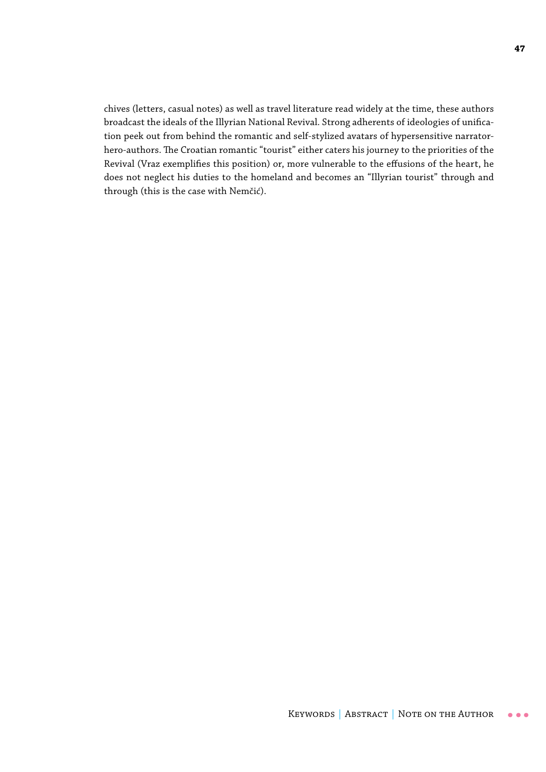chives (letters, casual notes) as well as travel literature read widely at the time, these authors broadcast the ideals of the Illyrian National Revival. Strong adherents of ideologies of unification peek out from behind the romantic and self-stylized avatars of hypersensitive narratorhero-authors. The Croatian romantic "tourist" either caters his journey to the priorities of the Revival (Vraz exemplifies this position) or, more vulnerable to the effusions of the heart, he does not neglect his duties to the homeland and becomes an "Illyrian tourist" through and through (this is the case with Nemčić).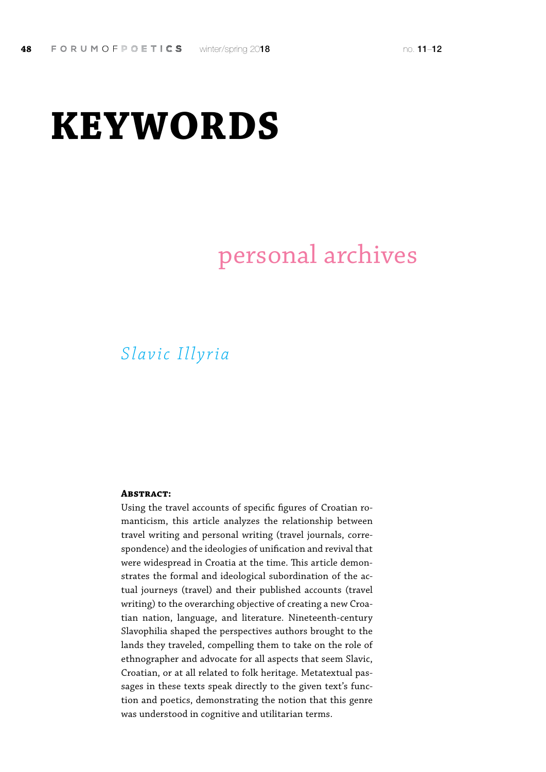# **KEYWORDS**

# personal archives

## *Slavic Illyria*

#### **Abstract:**

Using the travel accounts of specific figures of Croatian romanticism, this article analyzes the relationship between travel writing and personal writing (travel journals, correspondence) and the ideologies of unification and revival that were widespread in Croatia at the time. This article demonstrates the formal and ideological subordination of the actual journeys (travel) and their published accounts (travel writing) to the overarching objective of creating a new Croatian nation, language, and literature. Nineteenth-century Slavophilia shaped the perspectives authors brought to the lands they traveled, compelling them to take on the role of ethnographer and advocate for all aspects that seem Slavic, Croatian, or at all related to folk heritage. Metatextual passages in these texts speak directly to the given text's function and poetics, demonstrating the notion that this genre was understood in cognitive and utilitarian terms.